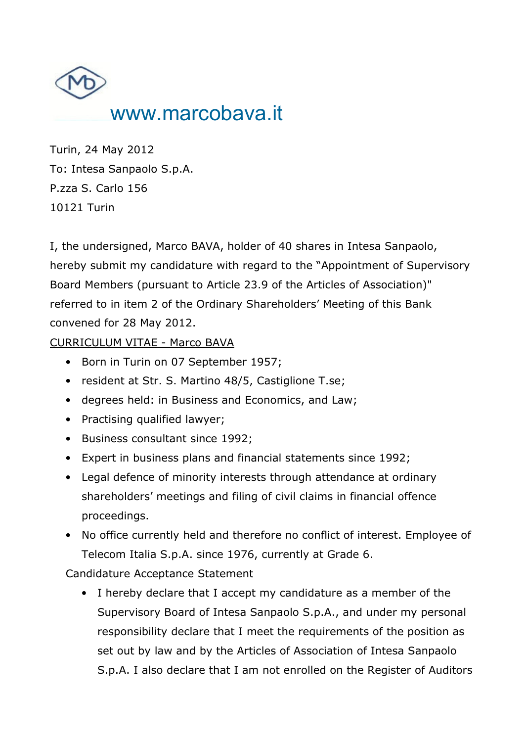

Turin, 24 May 2012 To: Intesa Sanpaolo S.p.A. P.zza S. Carlo 156 10121 Turin

I, the undersigned, Marco BAVA, holder of 40 shares in Intesa Sanpaolo, hereby submit my candidature with regard to the "Appointment of Supervisory Board Members (pursuant to Article 23.9 of the Articles of Association)" referred to in item 2 of the Ordinary Shareholders' Meeting of this Bank convened for 28 May 2012.

CURRICULUM VITAE - Marco BAVA

- Born in Turin on 07 September 1957;
- resident at Str. S. Martino 48/5, Castiglione T.se;
- degrees held: in Business and Economics, and Law;
- Practising qualified lawyer;
- Business consultant since 1992;
- Expert in business plans and financial statements since 1992;
- Legal defence of minority interests through attendance at ordinary shareholders' meetings and filing of civil claims in financial offence proceedings.
- No office currently held and therefore no conflict of interest. Employee of Telecom Italia S.p.A. since 1976, currently at Grade 6.

Candidature Acceptance Statement

• I hereby declare that I accept my candidature as a member of the Supervisory Board of Intesa Sanpaolo S.p.A., and under my personal responsibility declare that I meet the requirements of the position as set out by law and by the Articles of Association of Intesa Sanpaolo S.p.A. I also declare that I am not enrolled on the Register of Auditors